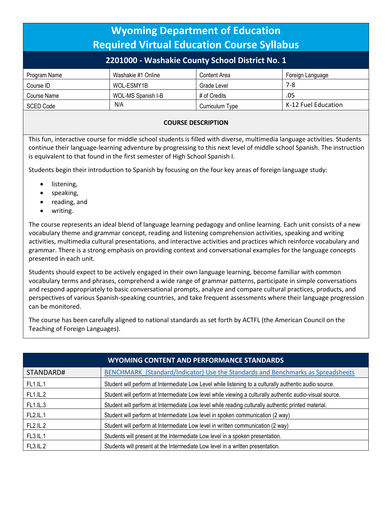| <b>Wyoming Department of Education</b><br><b>Required Virtual Education Course Syllabus</b> |                    |                 |                     |  |
|---------------------------------------------------------------------------------------------|--------------------|-----------------|---------------------|--|
| 2201000 - Washakie County School District No. 1                                             |                    |                 |                     |  |
| Program Name                                                                                | Washakie #1 Online | Content Area    | Foreign Language    |  |
| Course ID                                                                                   | WOL-ESMY1B         | Grade Level     | $7-8$               |  |
| Course Name                                                                                 | WOL-MS Spanish I-B | # of Credits    | .05                 |  |
| <b>SCED Code</b>                                                                            | N/A                | Curriculum Type | K-12 Fuel Education |  |
|                                                                                             |                    |                 |                     |  |

## **COURSE DESCRIPTION**

This fun, interactive course for middle school students is filled with diverse, multimedia language activities. Students continue their language-learning adventure by progressing to this next level of middle school Spanish. The instruction is equivalent to that found in the first semester of High School Spanish I.

Students begin their introduction to Spanish by focusing on the four key areas of foreign language study:

- listening,
- speaking,
- reading, and
- writing.

The course represents an ideal blend of language learning pedagogy and online learning. Each unit consists of a new vocabulary theme and grammar concept, reading and listening comprehension activities, speaking and writing activities, multimedia cultural presentations, and interactive activities and practices which reinforce vocabulary and grammar. There is a strong emphasis on providing context and conversational examples for the language concepts presented in each unit.

Students should expect to be actively engaged in their own language learning, become familiar with common vocabulary terms and phrases, comprehend a wide range of grammar patterns, participate in simple conversations and respond appropriately to basic conversational prompts, analyze and compare cultural practices, products, and perspectives of various Spanish-speaking countries, and take frequent assessments where their language progression can be monitored.

The course has been carefully aligned to national standards as set forth by ACTFL (the American Council on the Teaching of Foreign Languages).

| <b>WYOMING CONTENT AND PERFORMANCE STANDARDS</b> |                                                                                                          |  |  |
|--------------------------------------------------|----------------------------------------------------------------------------------------------------------|--|--|
| STANDARD#                                        | BENCHMARK (Standard/Indicator) Use the Standards and Benchmarks as Spreadsheets                          |  |  |
| FL1.IL.1                                         | Student will perform at Intermediate Low Level while listening to a culturally authentic audio source.   |  |  |
| <b>FL1.IL.2</b>                                  | Student will perform at Intermediate Low level while viewing a culturally authentic audio-visual source. |  |  |
| FL1.IL.3                                         | Student will perform at Intermediate Low level while reading culturally authentic printed material.      |  |  |
| FL2.IL.1                                         | Student will perform at Intermediate Low level in spoken communication (2 way)                           |  |  |
| FL2.IL.2                                         | Student will perform at Intermediate Low level in written communication (2 way)                          |  |  |
| FL3.IL.1                                         | Students will present at the Intermediate Low level in a spoken presentation.                            |  |  |
| <b>FL3.IL.2</b>                                  | Students will present at the Intermediate Low level in a written presentation.                           |  |  |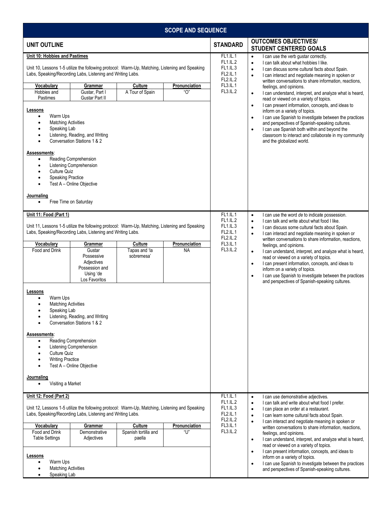| <b>SCOPE AND SEQUENCE</b>                                                                                                                                                                                                                                                                                                              |                                                                                                                                                                                                                    |                                                                               |                                                                                                                                                                                                                                                                                                                                                                                                                                                         |                                                                                                                                                                                                                                                          |                                                                                                                                                                                                                                                                                                                                                                                                                                                                                                                                                     |
|----------------------------------------------------------------------------------------------------------------------------------------------------------------------------------------------------------------------------------------------------------------------------------------------------------------------------------------|--------------------------------------------------------------------------------------------------------------------------------------------------------------------------------------------------------------------|-------------------------------------------------------------------------------|---------------------------------------------------------------------------------------------------------------------------------------------------------------------------------------------------------------------------------------------------------------------------------------------------------------------------------------------------------------------------------------------------------------------------------------------------------|----------------------------------------------------------------------------------------------------------------------------------------------------------------------------------------------------------------------------------------------------------|-----------------------------------------------------------------------------------------------------------------------------------------------------------------------------------------------------------------------------------------------------------------------------------------------------------------------------------------------------------------------------------------------------------------------------------------------------------------------------------------------------------------------------------------------------|
| <b>UNIT OUTLINE</b>                                                                                                                                                                                                                                                                                                                    |                                                                                                                                                                                                                    |                                                                               |                                                                                                                                                                                                                                                                                                                                                                                                                                                         | <b>STANDARD</b>                                                                                                                                                                                                                                          | <b>OUTCOMES OBJECTIVES/</b><br><b>STUDENT CENTERED GOALS</b>                                                                                                                                                                                                                                                                                                                                                                                                                                                                                        |
| Unit 10: Hobbies and Pastimes<br><b>Vocabulary</b><br>Hobbies and<br>Pastimes<br>Lessons                                                                                                                                                                                                                                               | Unit 10, Lessons 1-5 utilize the following protocol: Warm-Up, Matching, Listening and Speaking<br>Labs, Speaking/Recording Labs, Listening and Writing Labs.<br>Grammar<br>Gustar, Part I<br><b>Gustar Part II</b> | <b>Culture</b><br>A Tour of Spain                                             | Pronunciation<br>"በ"                                                                                                                                                                                                                                                                                                                                                                                                                                    | FL1.IL.1<br>FL1.IL.2<br>FL1.IL.3<br><b>FL2.IL.1</b><br><b>FL2.IL.2</b><br>FL3.IL.1<br>FL3.IL.2                                                                                                                                                           | I can use the verb gustar correctly.<br>$\bullet$<br>I can talk about what hobbies I like.<br>$\bullet$<br>I can discuss some cultural facts about Spain.<br>$\bullet$<br>I can interact and negotiate meaning in spoken or<br>$\bullet$<br>written conversations to share information, reactions,<br>feelings, and opinions.<br>I can understand, interpret, and analyze what is heard,<br>$\bullet$<br>read or viewed on a variety of topics.<br>I can present information, concepts, and ideas to<br>$\bullet$<br>inform on a variety of topics. |
| Warm Ups<br>$\bullet$<br><b>Matching Activities</b><br>$\bullet$<br>Speaking Lab<br>$\bullet$<br>$\bullet$<br>Assessments:<br>$\bullet$<br>$\bullet$<br>Culture Quiz<br>$\bullet$<br><b>Speaking Practice</b><br>$\bullet$<br>$\bullet$<br>Journaling                                                                                  | Listening, Reading, and Writing<br>Conversation Stations 1 & 2<br>Reading Comprehension<br><b>Listening Comprehension</b><br>Test A - Online Objective<br>Free Time on Saturday                                    |                                                                               |                                                                                                                                                                                                                                                                                                                                                                                                                                                         |                                                                                                                                                                                                                                                          | I can use Spanish to investigate between the practices<br>$\bullet$<br>and perspectives of Spanish-speaking cultures.<br>I can use Spanish both within and beyond the<br>$\bullet$<br>classroom to interact and collaborate in my community<br>and the globalized world.                                                                                                                                                                                                                                                                            |
| Unit 11: Food (Part 1)<br>Unit 11, Lessons 1-5 utilize the following protocol: Warm-Up, Matching, Listening and Speaking<br>Labs, Speaking/Recording Labs, Listening and Writing Labs.                                                                                                                                                 |                                                                                                                                                                                                                    |                                                                               | FL1.IL.1<br><b>FL1.IL.2</b><br>FL1.IL.3<br>FL2.IL.1                                                                                                                                                                                                                                                                                                                                                                                                     | I can use the word de to indicate possession.<br>$\bullet$<br>I can talk and write about what food I like.<br>$\bullet$<br>I can discuss some cultural facts about Spain.<br>$\bullet$<br>I can interact and negotiate meaning in spoken or<br>$\bullet$ |                                                                                                                                                                                                                                                                                                                                                                                                                                                                                                                                                     |
| Vocabulary                                                                                                                                                                                                                                                                                                                             | Grammar                                                                                                                                                                                                            | Culture                                                                       | Pronunciation                                                                                                                                                                                                                                                                                                                                                                                                                                           | <b>FL2.IL.2</b><br>FL3.IL.1                                                                                                                                                                                                                              | written conversations to share information, reactions,<br>feelings, and opinions.                                                                                                                                                                                                                                                                                                                                                                                                                                                                   |
| Food and Drink                                                                                                                                                                                                                                                                                                                         | Gustar<br>Possessive<br>Adjectives<br>Possession and<br>Using 'de<br>Los Favoritos                                                                                                                                 | Tapas and 'la<br>sobremesa'                                                   | <b>NA</b>                                                                                                                                                                                                                                                                                                                                                                                                                                               | <b>FL3.IL.2</b>                                                                                                                                                                                                                                          | I can understand, interpret, and analyze what is heard,<br>$\bullet$<br>read or viewed on a variety of topics.<br>I can present information, concepts, and ideas to<br>$\bullet$<br>inform on a variety of topics.<br>I can use Spanish to investigate between the practices<br>$\bullet$<br>and perspectives of Spanish-speaking cultures.                                                                                                                                                                                                         |
| Lessons<br>Warm Ups<br><b>Matching Activities</b><br>Speaking Lab<br>٠                                                                                                                                                                                                                                                                 | Listening, Reading, and Writing<br>Conversation Stations 1 & 2                                                                                                                                                     |                                                                               |                                                                                                                                                                                                                                                                                                                                                                                                                                                         |                                                                                                                                                                                                                                                          |                                                                                                                                                                                                                                                                                                                                                                                                                                                                                                                                                     |
| Assessments:<br>$\bullet$<br>$\bullet$<br><b>Culture Quiz</b><br>$\bullet$<br><b>Writing Practice</b><br>$\bullet$<br>$\bullet$                                                                                                                                                                                                        | Reading Comprehension<br>Listening Comprehension<br>Test A - Online Objective                                                                                                                                      |                                                                               |                                                                                                                                                                                                                                                                                                                                                                                                                                                         |                                                                                                                                                                                                                                                          |                                                                                                                                                                                                                                                                                                                                                                                                                                                                                                                                                     |
| <u>Journaling</u><br>Visiting a Market<br>$\bullet$                                                                                                                                                                                                                                                                                    |                                                                                                                                                                                                                    |                                                                               |                                                                                                                                                                                                                                                                                                                                                                                                                                                         |                                                                                                                                                                                                                                                          |                                                                                                                                                                                                                                                                                                                                                                                                                                                                                                                                                     |
| Unit 12: Food (Part 2)                                                                                                                                                                                                                                                                                                                 |                                                                                                                                                                                                                    |                                                                               |                                                                                                                                                                                                                                                                                                                                                                                                                                                         | FL1.IL.1<br><b>FL1.IL.2</b>                                                                                                                                                                                                                              | I can use demonstrative adjectives.<br>$\bullet$                                                                                                                                                                                                                                                                                                                                                                                                                                                                                                    |
| Unit 12, Lessons 1-5 utilize the following protocol: Warm-Up, Matching, Listening and Speaking<br>Labs, Speaking/Recording Labs, Listening and Writing Labs.<br>Vocabulary<br>Grammar<br>Culture<br>Pronunciation<br>"l l"<br>Food and Drink<br>Demonstrative<br>Spanish tortilla and<br><b>Table Settings</b><br>Adjectives<br>paella |                                                                                                                                                                                                                    | FL1.IL.3<br><b>FL2.IL.1</b><br><b>FL2.IL.2</b><br><b>FL3.IL.1</b><br>FL3.IL.2 | I can talk and write about what food I prefer.<br>$\bullet$<br>I can place an order at a restaurant.<br>$\bullet$<br>I can learn some cultural facts about Spain.<br>$\bullet$<br>I can interact and negotiate meaning in spoken or<br>$\bullet$<br>written conversations to share information, reactions,<br>feelings, and opinions.<br>I can understand, interpret, and analyze what is heard,<br>$\bullet$<br>read or viewed on a variety of topics. |                                                                                                                                                                                                                                                          |                                                                                                                                                                                                                                                                                                                                                                                                                                                                                                                                                     |
| Lessons<br>Warm Ups<br>$\bullet$<br><b>Matching Activities</b><br>Speaking Lab<br>$\bullet$                                                                                                                                                                                                                                            |                                                                                                                                                                                                                    |                                                                               |                                                                                                                                                                                                                                                                                                                                                                                                                                                         |                                                                                                                                                                                                                                                          | I can present information, concepts, and ideas to<br>$\bullet$<br>inform on a variety of topics.<br>I can use Spanish to investigate between the practices<br>$\bullet$<br>and perspectives of Spanish-speaking cultures.                                                                                                                                                                                                                                                                                                                           |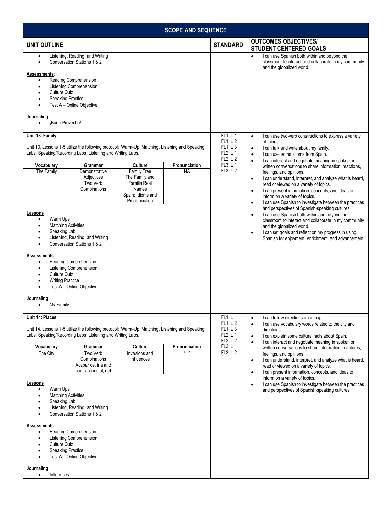| <b>SCOPE AND SEQUENCE</b>                                                                                                                                                                                                                                                                                                                                                                                                                                                                                                                                                                                                                                                                                      |                                                                                                       |                                                                                                                                                                                                                                                                                                                                                                                                                                                                                                                                                                                                                                                                                                       |  |
|----------------------------------------------------------------------------------------------------------------------------------------------------------------------------------------------------------------------------------------------------------------------------------------------------------------------------------------------------------------------------------------------------------------------------------------------------------------------------------------------------------------------------------------------------------------------------------------------------------------------------------------------------------------------------------------------------------------|-------------------------------------------------------------------------------------------------------|-------------------------------------------------------------------------------------------------------------------------------------------------------------------------------------------------------------------------------------------------------------------------------------------------------------------------------------------------------------------------------------------------------------------------------------------------------------------------------------------------------------------------------------------------------------------------------------------------------------------------------------------------------------------------------------------------------|--|
| <b>UNIT OUTLINE</b>                                                                                                                                                                                                                                                                                                                                                                                                                                                                                                                                                                                                                                                                                            | <b>STANDARD</b>                                                                                       | <b>OUTCOMES OBJECTIVES/</b><br><b>STUDENT CENTERED GOALS</b>                                                                                                                                                                                                                                                                                                                                                                                                                                                                                                                                                                                                                                          |  |
| Listening, Reading, and Writing<br>$\bullet$<br>Conversation Stations 1 & 2<br>Assessments:<br>Reading Comprehension<br>Listening Comprehension<br>$\bullet$<br><b>Culture Quiz</b><br>$\bullet$<br><b>Speaking Practice</b><br>$\bullet$<br>Test A - Online Objective<br>$\bullet$<br>Journaling<br>¡Buen Provecho!<br>$\bullet$                                                                                                                                                                                                                                                                                                                                                                              |                                                                                                       | I can use Spanish both within and beyond the<br>$\bullet$<br>classroom to interact and collaborate in my community<br>and the globalized world.                                                                                                                                                                                                                                                                                                                                                                                                                                                                                                                                                       |  |
| Unit 13: Family<br>Unit 13, Lessons 1-5 utilize the following protocol: Warm-Up, Matching, Listening and Speaking<br>Labs, Speaking/Recording Labs, Listening and Writing Labs.<br>Pronunciation<br><b>Vocabulary</b><br>Culture<br>Grammar<br><b>Family Tree</b><br>The Family<br>Demonstrative<br><b>NA</b><br>The Family and<br>Adjectives<br>Familia Real<br>Two Verb<br>Combinations<br>Names<br>Spain: Idioms and<br>Pronunciation                                                                                                                                                                                                                                                                       | FL1.IL.1<br><b>FL1.IL.2</b><br>FL1.IL.3<br><b>FL2.IL.1</b><br><b>FL2.IL.2</b><br>FL3.IL.1<br>FL3.IL.2 | I can use two-verb constructions to express a variety<br>$\bullet$<br>of things.<br>I can talk and write about my family.<br>$\bullet$<br>I can use some idioms from Spain.<br>$\bullet$<br>I can interact and negotiate meaning in spoken or<br>$\bullet$<br>written conversations to share information, reactions,<br>feelings, and opinions.<br>I can understand, interpret, and analyze what is heard,<br>$\bullet$<br>read or viewed on a variety of topics.<br>I can present information, concepts, and ideas to<br>$\bullet$<br>inform on a variety of topics.<br>I can use Spanish to investigate between the practices<br>$\bullet$                                                          |  |
| Lessons<br>Warm Ups<br>٠<br><b>Matching Activities</b><br>$\bullet$<br>Speaking Lab<br>Listening, Reading, and Writing<br>Conversation Stations 1 & 2<br>Assessments:<br>Reading Comprehension<br>$\bullet$<br>Listening Comprehension<br>Culture Quiz<br>$\bullet$<br><b>Writing Practice</b><br>$\bullet$<br>Test A - Online Objective<br>$\bullet$<br>Journaling<br>My Family<br>٠                                                                                                                                                                                                                                                                                                                          |                                                                                                       | and perspectives of Spanish-speaking cultures.<br>I can use Spanish both within and beyond the<br>$\bullet$<br>classroom to interact and collaborate in my community<br>and the globalized world.<br>I can set goals and reflect on my progress in using<br>$\bullet$<br>Spanish for enjoyment, enrichment, and advancement.                                                                                                                                                                                                                                                                                                                                                                          |  |
| Unit 14: Places<br>Unit 14, Lessons 1-5 utilize the following protocol: Warm-Up, Matching, Listening and Speaking<br>Labs, Speaking/Recording Labs, Listening and Writing Labs.<br><b>Vocabulary</b><br>Culture<br>Pronunciation<br>Grammar<br>The City<br>Two Verb<br>"Н"<br>Invasions and<br>Combinations<br>Influences<br>Acabar de, ir a and<br>contractions al, del<br>Lessons<br>Warm Ups<br>٠<br><b>Matching Activities</b><br>Speaking Lab<br>Listening, Reading, and Writing<br>$\bullet$<br>Conversation Stations 1 & 2<br>Assessments:<br>Reading Comprehension<br>$\bullet$<br><b>Listening Comprehension</b><br>٠<br><b>Culture Quiz</b><br><b>Speaking Practice</b><br>Test A - Online Objective | FL1.IL.1<br>FL1.IL.2<br>FL1.IL.3<br><b>FL2.IL.1</b><br><b>FL2.IL.2</b><br>FL3.IL.1<br><b>FL3.IL.2</b> | I can follow directions on a map.<br>$\bullet$<br>I can use vocabulary words related to the city and<br>$\bullet$<br>directions.<br>I can explain some cultural facts about Spain.<br>$\bullet$<br>I can interact and negotiate meaning in spoken or<br>$\bullet$<br>written conversations to share information, reactions,<br>feelings, and opinions.<br>I can understand, interpret, and analyze what is heard,<br>$\bullet$<br>read or viewed on a variety of topics.<br>I can present information, concepts, and ideas to<br>$\bullet$<br>inform on a variety of topics.<br>I can use Spanish to investigate between the practices<br>$\bullet$<br>and perspectives of Spanish-speaking cultures. |  |
| Journaling<br>Influences<br>$\bullet$                                                                                                                                                                                                                                                                                                                                                                                                                                                                                                                                                                                                                                                                          |                                                                                                       |                                                                                                                                                                                                                                                                                                                                                                                                                                                                                                                                                                                                                                                                                                       |  |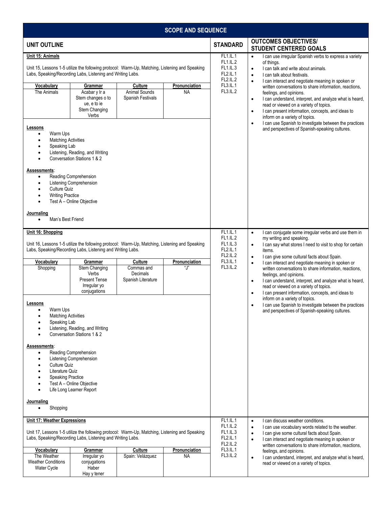| <b>SCOPE AND SEQUENCE</b>                                                                                                                                                                                                                                      |                                                                                                                                                                             |                                                                                                                                                 |                                                                                                                                                                                      |                                                                                                                                                                                                        |                                                                                                                                                                                                                                                                                                                                                                                                                                                                                                                                                                                                                                       |
|----------------------------------------------------------------------------------------------------------------------------------------------------------------------------------------------------------------------------------------------------------------|-----------------------------------------------------------------------------------------------------------------------------------------------------------------------------|-------------------------------------------------------------------------------------------------------------------------------------------------|--------------------------------------------------------------------------------------------------------------------------------------------------------------------------------------|--------------------------------------------------------------------------------------------------------------------------------------------------------------------------------------------------------|---------------------------------------------------------------------------------------------------------------------------------------------------------------------------------------------------------------------------------------------------------------------------------------------------------------------------------------------------------------------------------------------------------------------------------------------------------------------------------------------------------------------------------------------------------------------------------------------------------------------------------------|
| <b>UNIT OUTLINE</b>                                                                                                                                                                                                                                            |                                                                                                                                                                             |                                                                                                                                                 |                                                                                                                                                                                      | <b>STANDARD</b>                                                                                                                                                                                        | <b>OUTCOMES OBJECTIVES/</b><br><b>STUDENT CENTERED GOALS</b>                                                                                                                                                                                                                                                                                                                                                                                                                                                                                                                                                                          |
| Unit 15: Animals<br><b>Vocabulary</b><br>The Animals                                                                                                                                                                                                           | Labs, Speaking/Recording Labs, Listening and Writing Labs.<br>Grammar<br>Acabar y Ir a<br>Stem changes o to<br>ue, e to ie<br>Stem Changing<br>Verbs                        | Unit 15, Lessons 1-5 utilize the following protocol: Warm-Up, Matching, Listening and Speaking<br>Culture<br>Animal Sounds<br>Spanish Festivals | Pronunciation<br><b>NA</b>                                                                                                                                                           | FL1.IL.1<br><b>FL1.IL.2</b><br><b>FL1.IL.3</b><br><b>FL2.IL.1</b><br><b>FL2.IL.2</b><br>FL3.IL.1<br>FL3.IL.2                                                                                           | I can use irregular Spanish verbs to express a variety<br>$\bullet$<br>of things.<br>I can talk and write about animals.<br>$\bullet$<br>I can talk about festivals.<br>$\bullet$<br>I can interact and negotiate meaning in spoken or<br>$\bullet$<br>written conversations to share information, reactions,<br>feelings, and opinions.<br>I can understand, interpret, and analyze what is heard,<br>$\bullet$<br>read or viewed on a variety of topics.<br>I can present information, concepts, and ideas to<br>$\bullet$<br>inform on a variety of topics.<br>I can use Spanish to investigate between the practices<br>$\bullet$ |
| Lessons<br>Warm Ups<br>٠<br><b>Matching Activities</b><br>$\bullet$<br>Speaking Lab<br>$\bullet$<br>$\bullet$<br>$\bullet$<br>Assessments:<br>$\bullet$<br>٠<br><b>Culture Quiz</b><br><b>Writing Practice</b><br>Journaling<br>Man's Best Friend<br>$\bullet$ | Listening, Reading, and Writing<br>Conversation Stations 1 & 2<br>Reading Comprehension<br>Listening Comprehension<br>Test A - Online Objective                             |                                                                                                                                                 |                                                                                                                                                                                      |                                                                                                                                                                                                        | and perspectives of Spanish-speaking cultures.                                                                                                                                                                                                                                                                                                                                                                                                                                                                                                                                                                                        |
| Unit 16: Shopping<br>Unit 16, Lessons 1-5 utilize the following protocol: Warm-Up, Matching, Listening and Speaking<br>Labs, Speaking/Recording Labs, Listening and Writing Labs.                                                                              |                                                                                                                                                                             |                                                                                                                                                 | FL1.IL.1<br>$\bullet$<br><b>FL1.IL.2</b><br>FL1.IL.3<br>$\bullet$<br><b>FL2.IL.1</b><br><b>FL2.IL.2</b><br>$\bullet$                                                                 | I can conjugate some irregular verbs and use them in<br>my writing and speaking.<br>I can say what stores I need to visit to shop for certain<br>items.<br>I can give some cultural facts about Spain. |                                                                                                                                                                                                                                                                                                                                                                                                                                                                                                                                                                                                                                       |
| Vocabulary<br>Shopping                                                                                                                                                                                                                                         | Grammar<br>Stem Changing<br>Verbs<br><b>Present Tense</b><br>Irregular yo<br>conjugations                                                                                   | Culture<br>Commas and<br>Decimals<br>Spanish Literature                                                                                         | Pronunciation<br>"J"                                                                                                                                                                 | FL3.IL.1<br>FL3.IL.2                                                                                                                                                                                   | I can interact and negotiate meaning in spoken or<br>$\bullet$<br>written conversations to share information, reactions,<br>feelings, and opinions.<br>I can understand, interpret, and analyze what is heard,<br>$\bullet$<br>read or viewed on a variety of topics.<br>I can present information, concepts, and ideas to<br>$\bullet$                                                                                                                                                                                                                                                                                               |
| Lessons<br>Warm Ups<br><b>Matching Activities</b><br>$\bullet$<br>Speaking Lab<br>Assessments:<br>$\bullet$<br>$\bullet$<br>Culture Quiz<br>Literature Quiz<br><b>Speaking Practice</b><br>Journaling<br>Shopping                                              | Listening, Reading, and Writing<br>Conversation Stations 1 & 2<br>Reading Comprehension<br>Listening Comprehension<br>Test A - Online Objective<br>Life Long Learner Report |                                                                                                                                                 |                                                                                                                                                                                      |                                                                                                                                                                                                        | inform on a variety of topics.<br>I can use Spanish to investigate between the practices<br>$\bullet$<br>and perspectives of Spanish-speaking cultures.                                                                                                                                                                                                                                                                                                                                                                                                                                                                               |
| Unit 17: Weather Expressions                                                                                                                                                                                                                                   |                                                                                                                                                                             | FL1.IL.1<br>FL1.IL.2<br>FL1.IL.3<br><b>FL2.IL.1</b><br><b>FL2.IL.2</b>                                                                          | I can discuss weather conditions.<br>$\bullet$<br>I can use vocabulary words related to the weather.<br>$\bullet$                                                                    |                                                                                                                                                                                                        |                                                                                                                                                                                                                                                                                                                                                                                                                                                                                                                                                                                                                                       |
| Unit 17, Lessons 1-5 utilize the following protocol: Warm-Up, Matching, Listening and Speaking<br>Labs, Speaking/Recording Labs, Listening and Writing Labs.                                                                                                   |                                                                                                                                                                             |                                                                                                                                                 | I can give some cultural facts about Spain.<br>$\bullet$<br>I can interact and negotiate meaning in spoken or<br>$\bullet$<br>written conversations to share information, reactions, |                                                                                                                                                                                                        |                                                                                                                                                                                                                                                                                                                                                                                                                                                                                                                                                                                                                                       |
| <b>Vocabulary</b><br>The Weather<br><b>Weather Conditions</b><br>Water Cycle                                                                                                                                                                                   | Grammar<br>Irregular yo<br>conjugations<br>Haber<br>Hay y tener                                                                                                             | Culture<br>Spain: Velázquez                                                                                                                     | Pronunciation<br><b>NA</b>                                                                                                                                                           | <b>FL3.IL.1</b><br><b>FL3.IL.2</b>                                                                                                                                                                     | feelings, and opinions.<br>I can understand, interpret, and analyze what is heard,<br>$\bullet$<br>read or viewed on a variety of topics.                                                                                                                                                                                                                                                                                                                                                                                                                                                                                             |